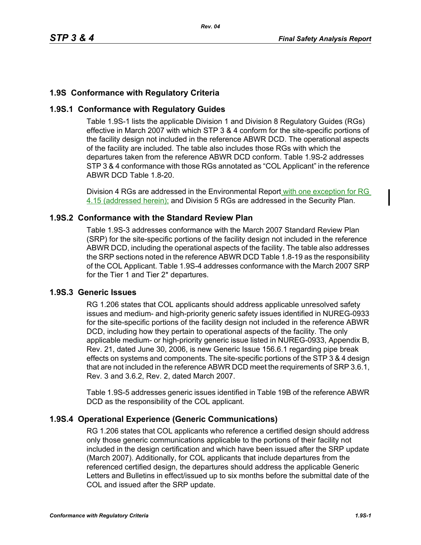# **1.9S Conformance with Regulatory Criteria**

# **1.9S.1 Conformance with Regulatory Guides**

Table 1.9S-1 lists the applicable Division 1 and Division 8 Regulatory Guides (RGs) effective in March 2007 with which STP 3 & 4 conform for the site-specific portions of the facility design not included in the reference ABWR DCD. The operational aspects of the facility are included. The table also includes those RGs with which the departures taken from the reference ABWR DCD conform. Table 1.9S-2 addresses STP 3 & 4 conformance with those RGs annotated as "COL Applicant" in the reference ABWR DCD Table 1.8-20.

Division 4 RGs are addressed in the Environmental Report with one exception for RG 4.15 (addressed herein); and Division 5 RGs are addressed in the Security Plan.

## **1.9S.2 Conformance with the Standard Review Plan**

Table 1.9S-3 addresses conformance with the March 2007 Standard Review Plan (SRP) for the site-specific portions of the facility design not included in the reference ABWR DCD, including the operational aspects of the facility. The table also addresses the SRP sections noted in the reference ABWR DCD Table 1.8-19 as the responsibility of the COL Applicant. Table 1.9S-4 addresses conformance with the March 2007 SRP for the Tier 1 and Tier 2\* departures.

### **1.9S.3 Generic Issues**

RG 1.206 states that COL applicants should address applicable unresolved safety issues and medium- and high-priority generic safety issues identified in NUREG-0933 for the site-specific portions of the facility design not included in the reference ABWR DCD, including how they pertain to operational aspects of the facility. The only applicable medium- or high-priority generic issue listed in NUREG-0933, Appendix B, Rev. 21, dated June 30, 2006, is new Generic Issue 156.6.1 regarding pipe break effects on systems and components. The site-specific portions of the STP 3 & 4 design that are not included in the reference ABWR DCD meet the requirements of SRP 3.6.1, Rev. 3 and 3.6.2, Rev. 2, dated March 2007.

Table 1.9S-5 addresses generic issues identified in Table 19B of the reference ABWR DCD as the responsibility of the COL applicant.

## **1.9S.4 Operational Experience (Generic Communications)**

RG 1.206 states that COL applicants who reference a certified design should address only those generic communications applicable to the portions of their facility not included in the design certification and which have been issued after the SRP update (March 2007). Additionally, for COL applicants that include departures from the referenced certified design, the departures should address the applicable Generic Letters and Bulletins in effect/issued up to six months before the submittal date of the COL and issued after the SRP update.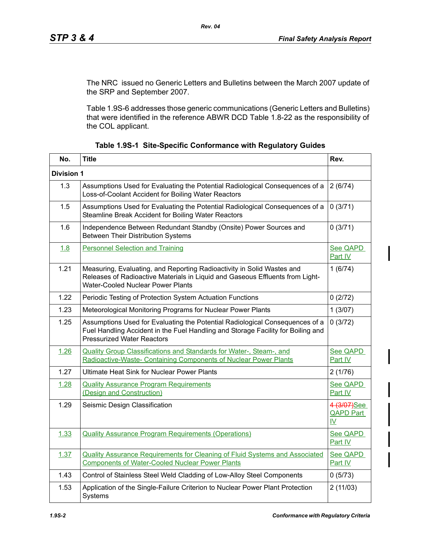The NRC issued no Generic Letters and Bulletins between the March 2007 update of the SRP and September 2007.

Table 1.9S-6 addresses those generic communications (Generic Letters and Bulletins) that were identified in the reference ABWR DCD Table 1.8-22 as the responsibility of the COL applicant.

| No.               | <b>Title</b>                                                                                                                                                                                          | Rev.                                                         |  |
|-------------------|-------------------------------------------------------------------------------------------------------------------------------------------------------------------------------------------------------|--------------------------------------------------------------|--|
| <b>Division 1</b> |                                                                                                                                                                                                       |                                                              |  |
| 1.3               | Assumptions Used for Evaluating the Potential Radiological Consequences of a<br>Loss-of-Coolant Accident for Boiling Water Reactors                                                                   | 2(6/74)                                                      |  |
| 1.5               | Assumptions Used for Evaluating the Potential Radiological Consequences of a<br>Steamline Break Accident for Boiling Water Reactors                                                                   | 0(3/71)                                                      |  |
| 1.6               | Independence Between Redundant Standby (Onsite) Power Sources and<br><b>Between Their Distribution Systems</b>                                                                                        | 0(3/71)                                                      |  |
| 1.8               | <b>Personnel Selection and Training</b>                                                                                                                                                               | See QAPD<br>Part IV                                          |  |
| 1.21              | Measuring, Evaluating, and Reporting Radioactivity in Solid Wastes and<br>Releases of Radioactive Materials in Liquid and Gaseous Effluents from Light-<br><b>Water-Cooled Nuclear Power Plants</b>   | 1(6/74)                                                      |  |
| 1.22              | Periodic Testing of Protection System Actuation Functions                                                                                                                                             | 0(2/72)                                                      |  |
| 1.23              | Meteorological Monitoring Programs for Nuclear Power Plants                                                                                                                                           | 1(3/07)                                                      |  |
| 1.25              | Assumptions Used for Evaluating the Potential Radiological Consequences of a<br>Fuel Handling Accident in the Fuel Handling and Storage Facility for Boiling and<br><b>Pressurized Water Reactors</b> | 0(3/72)                                                      |  |
| 1.26              | <b>Quality Group Classifications and Standards for Water-, Steam-, and</b><br>Radioactive-Waste- Containing Components of Nuclear Power Plants                                                        | See QAPD<br>Part IV                                          |  |
| 1.27              | Ultimate Heat Sink for Nuclear Power Plants                                                                                                                                                           | 2(1/76)                                                      |  |
| 1.28              | <b>Quality Assurance Program Requirements</b><br>(Design and Construction)                                                                                                                            | See QAPD<br>Part IV                                          |  |
| 1.29              | Seismic Design Classification                                                                                                                                                                         | 4 (3/07)See<br><b>QAPD Part</b><br>$\underline{\mathsf{IV}}$ |  |
| 1.33              | <b>Quality Assurance Program Requirements (Operations)</b>                                                                                                                                            | See QAPD<br>Part IV                                          |  |
| 1.37              | <b>Quality Assurance Requirements for Cleaning of Fluid Systems and Associated</b><br><b>Components of Water-Cooled Nuclear Power Plants</b>                                                          | See QAPD<br>Part IV                                          |  |
| 1.43              | Control of Stainless Steel Weld Cladding of Low-Alloy Steel Components                                                                                                                                | 0(5/73)                                                      |  |
| 1.53              | Application of the Single-Failure Criterion to Nuclear Power Plant Protection<br>Systems                                                                                                              | 2(11/03)                                                     |  |

|  |  | Table 1.9S-1 Site-Specific Conformance with Regulatory Guides |  |  |
|--|--|---------------------------------------------------------------|--|--|
|--|--|---------------------------------------------------------------|--|--|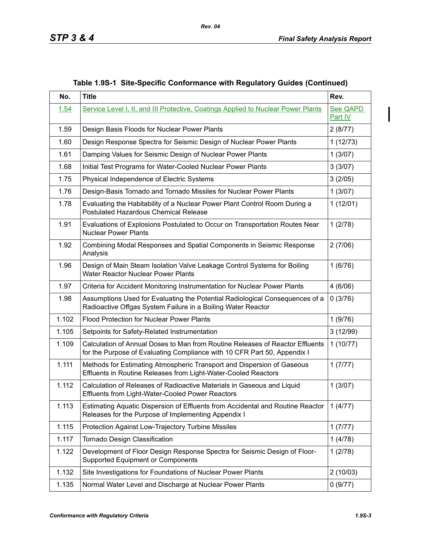| No.   | <b>Title</b>                                                                                                                                              | Rev.                |
|-------|-----------------------------------------------------------------------------------------------------------------------------------------------------------|---------------------|
| 1.54  | Service Level I, II, and III Protective, Coatings Applied to Nuclear Power Plants                                                                         | See QAPD<br>Part IV |
| 1.59  | Design Basis Floods for Nuclear Power Plants                                                                                                              | 2(8/77)             |
| 1.60  | Design Response Spectra for Seismic Design of Nuclear Power Plants                                                                                        | 1(12/73)            |
| 1.61  | Damping Values for Seismic Design of Nuclear Power Plants                                                                                                 | 1(3/07)             |
| 1.68  | Initial Test Programs for Water-Cooled Nuclear Power Plants                                                                                               | 3(3/07)             |
| 1.75  | Physical Independence of Electric Systems                                                                                                                 | 3(2/05)             |
| 1.76  | Design-Basis Tornado and Tornado Missiles for Nuclear Power Plants                                                                                        | 1(3/07)             |
| 1.78  | Evaluating the Habitability of a Nuclear Power Plant Control Room During a<br><b>Postulated Hazardous Chemical Release</b>                                | 1(12/01)            |
| 1.91  | Evaluations of Explosions Postulated to Occur on Transportation Routes Near<br><b>Nuclear Power Plants</b>                                                | 1(2/78)             |
| 1.92  | Combining Modal Responses and Spatial Components in Seismic Response<br>Analysis                                                                          | 2(7/06)             |
| 1.96  | Design of Main Steam Isolation Valve Leakage Control Systems for Boiling<br>Water Reactor Nuclear Power Plants                                            | 1(6/76)             |
| 1.97  | Criteria for Accident Monitoring Instrumentation for Nuclear Power Plants                                                                                 | 4(6/06)             |
| 1.98  | Assumptions Used for Evaluating the Potential Radiological Consequences of a<br>Radioactive Offgas System Failure in a Boiling Water Reactor              | 0(3/76)             |
| 1.102 | <b>Flood Protection for Nuclear Power Plants</b>                                                                                                          | 1(9/76)             |
| 1.105 | Setpoints for Safety-Related Instrumentation                                                                                                              | 3(12/99)            |
| 1.109 | Calculation of Annual Doses to Man from Routine Releases of Reactor Effluents<br>for the Purpose of Evaluating Compliance with 10 CFR Part 50, Appendix I | 1(10/77)            |
| 1.111 | Methods for Estimating Atmospheric Transport and Dispersion of Gaseous<br>Effluents in Routine Releases from Light-Water-Cooled Reactors                  | 1(7/77)             |
| 1.112 | Calculation of Releases of Radioactive Materials in Gaseous and Liquid<br>Effluents from Light-Water-Cooled Power Reactors                                | 1(3/07)             |
| 1.113 | Estimating Aquatic Dispersion of Effluents from Accidental and Routine Reactor<br>Releases for the Purpose of Implementing Appendix I                     | 1(4/77)             |
| 1.115 | Protection Against Low-Trajectory Turbine Missiles                                                                                                        | 1(7/77)             |
| 1.117 | Tornado Design Classification                                                                                                                             | 1(4/78)             |
| 1.122 | Development of Floor Design Response Spectra for Seismic Design of Floor-<br>Supported Equipment or Components                                            | 1(2/78)             |
| 1.132 | Site Investigations for Foundations of Nuclear Power Plants                                                                                               | 2(10/03)            |
| 1.135 | Normal Water Level and Discharge at Nuclear Power Plants                                                                                                  | 0(9/77)             |

|  | Table 1.9S-1 Site-Specific Conformance with Regulatory Guides (Continued) |  |  |
|--|---------------------------------------------------------------------------|--|--|
|  |                                                                           |  |  |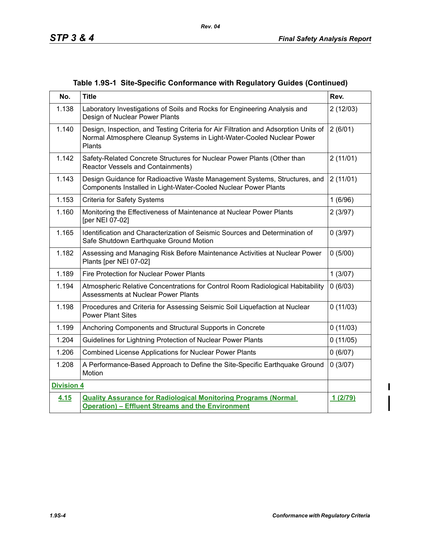|  |  |  |  | Table 1.9S-1 Site-Specific Conformance with Regulatory Guides (Continued) |
|--|--|--|--|---------------------------------------------------------------------------|
|--|--|--|--|---------------------------------------------------------------------------|

*Rev. 04*

| No.               | <b>Title</b>                                                                                                                                                           | Rev.     |
|-------------------|------------------------------------------------------------------------------------------------------------------------------------------------------------------------|----------|
| 1.138             | Laboratory Investigations of Soils and Rocks for Engineering Analysis and<br>Design of Nuclear Power Plants                                                            | 2(12/03) |
| 1.140             | Design, Inspection, and Testing Criteria for Air Filtration and Adsorption Units of<br>Normal Atmosphere Cleanup Systems in Light-Water-Cooled Nuclear Power<br>Plants | 2(6/01)  |
| 1.142             | Safety-Related Concrete Structures for Nuclear Power Plants (Other than<br>Reactor Vessels and Containments)                                                           | 2(11/01) |
| 1.143             | Design Guidance for Radioactive Waste Management Systems, Structures, and<br>Components Installed in Light-Water-Cooled Nuclear Power Plants                           | 2(11/01) |
| 1.153             | <b>Criteria for Safety Systems</b>                                                                                                                                     | 1(6/96)  |
| 1.160             | Monitoring the Effectiveness of Maintenance at Nuclear Power Plants<br>[per NEI 07-02]                                                                                 | 2(3/97)  |
| 1.165             | Identification and Characterization of Seismic Sources and Determination of<br>Safe Shutdown Earthquake Ground Motion                                                  | 0(3/97)  |
| 1.182             | Assessing and Managing Risk Before Maintenance Activities at Nuclear Power<br>Plants [per NEI 07-02]                                                                   | 0(5/00)  |
| 1.189             | Fire Protection for Nuclear Power Plants                                                                                                                               | 1(3/07)  |
| 1.194             | Atmospheric Relative Concentrations for Control Room Radiological Habitability<br>Assessments at Nuclear Power Plants                                                  | 0(6/03)  |
| 1.198             | Procedures and Criteria for Assessing Seismic Soil Liquefaction at Nuclear<br><b>Power Plant Sites</b>                                                                 | 0(11/03) |
| 1.199             | Anchoring Components and Structural Supports in Concrete                                                                                                               | 0(11/03) |
| 1.204             | Guidelines for Lightning Protection of Nuclear Power Plants                                                                                                            | 0(11/05) |
| 1.206             | Combined License Applications for Nuclear Power Plants                                                                                                                 | 0(6/07)  |
| 1.208             | A Performance-Based Approach to Define the Site-Specific Earthquake Ground<br>Motion                                                                                   | 0(3/07)  |
| <b>Division 4</b> |                                                                                                                                                                        |          |
| 4.15              | <b>Quality Assurance for Radiological Monitoring Programs (Normal</b><br><b>Operation) - Effluent Streams and the Environment</b>                                      | 1(2/79)  |

 $\mathbf{l}$  $\overline{\mathbf{I}}$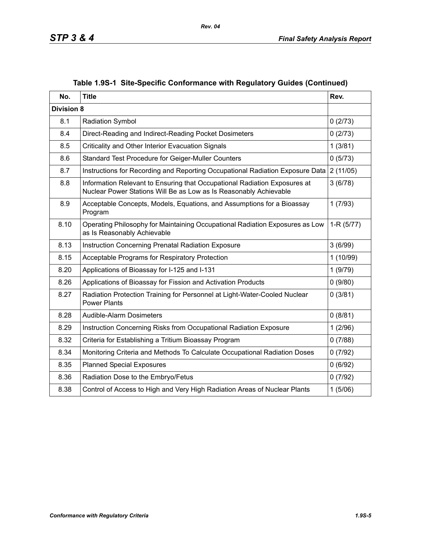| No.               | <b>Title</b>                                                                                                                                   | Rev.        |
|-------------------|------------------------------------------------------------------------------------------------------------------------------------------------|-------------|
| <b>Division 8</b> |                                                                                                                                                |             |
| 8.1               | Radiation Symbol                                                                                                                               | 0(2/73)     |
| 8.4               | Direct-Reading and Indirect-Reading Pocket Dosimeters                                                                                          | 0(2/73)     |
| 8.5               | Criticality and Other Interior Evacuation Signals                                                                                              | 1(3/81)     |
| 8.6               | Standard Test Procedure for Geiger-Muller Counters                                                                                             | 0(5/73)     |
| 8.7               | Instructions for Recording and Reporting Occupational Radiation Exposure Data                                                                  | 2(11/05)    |
| 8.8               | Information Relevant to Ensuring that Occupational Radiation Exposures at<br>Nuclear Power Stations Will Be as Low as Is Reasonably Achievable | 3(6/78)     |
| 8.9               | Acceptable Concepts, Models, Equations, and Assumptions for a Bioassay<br>Program                                                              | 1(7/93)     |
| 8.10              | Operating Philosophy for Maintaining Occupational Radiation Exposures as Low<br>as Is Reasonably Achievable                                    | $1-R(5/77)$ |
| 8.13              | Instruction Concerning Prenatal Radiation Exposure                                                                                             | 3(6/99)     |
| 8.15              | Acceptable Programs for Respiratory Protection                                                                                                 | 1(10/99)    |
| 8.20              | Applications of Bioassay for I-125 and I-131                                                                                                   | 1(9/79)     |
| 8.26              | Applications of Bioassay for Fission and Activation Products                                                                                   | 0(9/80)     |
| 8.27              | Radiation Protection Training for Personnel at Light-Water-Cooled Nuclear<br><b>Power Plants</b>                                               | 0(3/81)     |
| 8.28              | Audible-Alarm Dosimeters                                                                                                                       | 0(8/81)     |
| 8.29              | Instruction Concerning Risks from Occupational Radiation Exposure                                                                              | 1(2/96)     |
| 8.32              | Criteria for Establishing a Tritium Bioassay Program                                                                                           | 0(7/88)     |
| 8.34              | Monitoring Criteria and Methods To Calculate Occupational Radiation Doses                                                                      | 0(7/92)     |
| 8.35              | <b>Planned Special Exposures</b>                                                                                                               | 0(6/92)     |
| 8.36              | Radiation Dose to the Embryo/Fetus                                                                                                             | 0(7/92)     |
| 8.38              | Control of Access to High and Very High Radiation Areas of Nuclear Plants                                                                      | 1(5/06)     |

# **Table 1.9S-1 Site-Specific Conformance with Regulatory Guides (Continued)**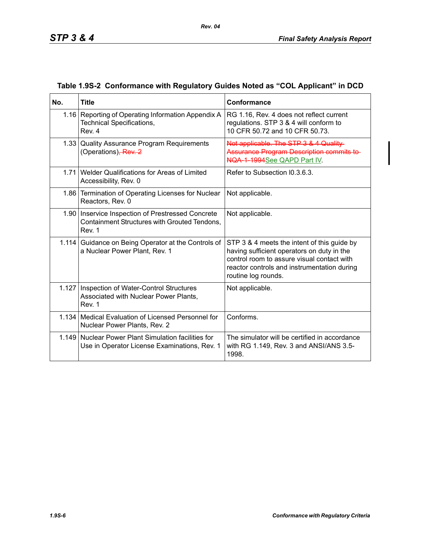| No.   | <b>Title</b>                                                                                                  | Conformance                                                                                                                                                                                                   |
|-------|---------------------------------------------------------------------------------------------------------------|---------------------------------------------------------------------------------------------------------------------------------------------------------------------------------------------------------------|
|       | 1.16 Reporting of Operating Information Appendix A<br><b>Technical Specifications,</b><br>Rev. 4              | RG 1.16, Rev. 4 does not reflect current<br>regulations. STP 3 & 4 will conform to<br>10 CFR 50.72 and 10 CFR 50.73.                                                                                          |
|       | 1.33 Quality Assurance Program Requirements<br>(Operations), Rev. 2                                           | Not applicable. The STP 3 & 4 Quality-<br><b>Assurance Program Description commits to-</b><br>NQA-1-1994See QAPD Part IV.                                                                                     |
|       | 1.71 Welder Qualifications for Areas of Limited<br>Accessibility, Rev. 0                                      | Refer to Subsection I0.3.6.3.                                                                                                                                                                                 |
|       | 1.86 Termination of Operating Licenses for Nuclear<br>Reactors, Rev. 0                                        | Not applicable.                                                                                                                                                                                               |
|       | 1.90   Inservice Inspection of Prestressed Concrete<br>Containment Structures with Grouted Tendons,<br>Rev. 1 | Not applicable.                                                                                                                                                                                               |
|       | 1.114 Guidance on Being Operator at the Controls of<br>a Nuclear Power Plant, Rev. 1                          | STP 3 & 4 meets the intent of this guide by<br>having sufficient operators on duty in the<br>control room to assure visual contact with<br>reactor controls and instrumentation during<br>routine log rounds. |
| 1.127 | Inspection of Water-Control Structures<br>Associated with Nuclear Power Plants,<br>Rev. 1                     | Not applicable.                                                                                                                                                                                               |
|       | 1.134   Medical Evaluation of Licensed Personnel for<br>Nuclear Power Plants, Rev. 2                          | Conforms.                                                                                                                                                                                                     |
| 1.149 | Nuclear Power Plant Simulation facilities for<br>Use in Operator License Examinations, Rev. 1                 | The simulator will be certified in accordance<br>with RG 1.149, Rev. 3 and ANSI/ANS 3.5-<br>1998.                                                                                                             |

### **Table 1.9S-2 Conformance with Regulatory Guides Noted as "COL Applicant" in DCD**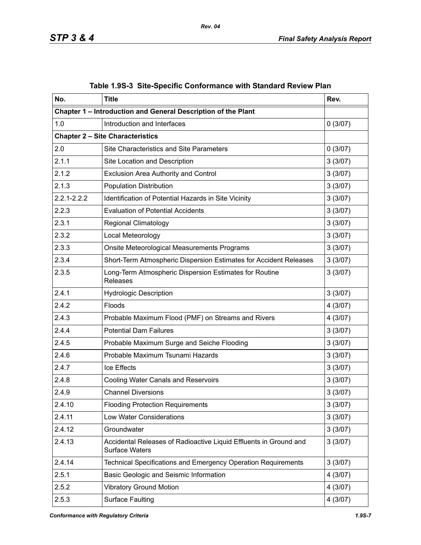| No.             | <b>Title</b>                                                                               | Rev.    |
|-----------------|--------------------------------------------------------------------------------------------|---------|
|                 | Chapter 1 - Introduction and General Description of the Plant                              |         |
| 1.0             | Introduction and Interfaces                                                                | 0(3/07) |
|                 | <b>Chapter 2 - Site Characteristics</b>                                                    |         |
| 2.0             | <b>Site Characteristics and Site Parameters</b>                                            | 0(3/07) |
| 2.1.1           | Site Location and Description                                                              | 3(3/07) |
| 2.1.2           | <b>Exclusion Area Authority and Control</b>                                                | 3(3/07) |
| 2.1.3           | <b>Population Distribution</b>                                                             | 3(3/07) |
| $2.2.1 - 2.2.2$ | Identification of Potential Hazards in Site Vicinity                                       | 3(3/07) |
| 2.2.3           | <b>Evaluation of Potential Accidents</b>                                                   | 3(3/07) |
| 2.3.1           | <b>Regional Climatology</b>                                                                | 3(3/07) |
| 2.3.2           | Local Meteorology                                                                          | 3(3/07) |
| 2.3.3           | Onsite Meteorological Measurements Programs                                                | 3(3/07) |
| 2.3.4           | Short-Term Atmospheric Dispersion Estimates for Accident Releases                          | 3(3/07) |
| 2.3.5           | Long-Term Atmospheric Dispersion Estimates for Routine<br>Releases                         | 3(3/07) |
| 2.4.1           | <b>Hydrologic Description</b>                                                              | 3(3/07) |
| 2.4.2           | Floods                                                                                     | 4(3/07) |
| 2.4.3           | Probable Maximum Flood (PMF) on Streams and Rivers                                         | 4(3/07) |
| 2.4.4           | <b>Potential Dam Failures</b>                                                              | 3(3/07) |
| 2.4.5           | Probable Maximum Surge and Seiche Flooding                                                 | 3(3/07) |
| 2.4.6           | Probable Maximum Tsunami Hazards                                                           | 3(3/07) |
| 2.4.7           | Ice Effects                                                                                | 3(3/07) |
| 2.4.8           | <b>Cooling Water Canals and Reservoirs</b>                                                 | 3(3/07) |
| 2.4.9           | <b>Channel Diversions</b>                                                                  | 3(3/07) |
| 2.4.10          | <b>Flooding Protection Requirements</b>                                                    | 3(3/07) |
| 2.4.11          | <b>Low Water Considerations</b>                                                            | 3(3/07) |
| 2.4.12          | Groundwater                                                                                | 3(3/07) |
| 2.4.13          | Accidental Releases of Radioactive Liquid Effluents in Ground and<br><b>Surface Waters</b> | 3(3/07) |
| 2.4.14          | Technical Specifications and Emergency Operation Requirements                              | 3(3/07) |
| 2.5.1           | Basic Geologic and Seismic Information                                                     | 4(3/07) |
| 2.5.2           | <b>Vibratory Ground Motion</b>                                                             | 4(3/07) |
| 2.5.3           | <b>Surface Faulting</b>                                                                    | 4(3/07) |

|  | Table 1.9S-3 Site-Specific Conformance with Standard Review Plan |  |
|--|------------------------------------------------------------------|--|
|  |                                                                  |  |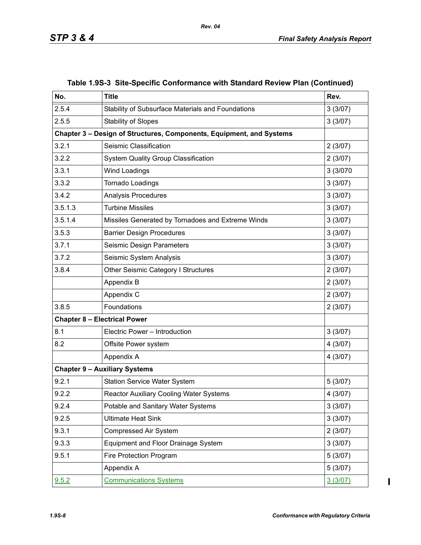| No.     | <b>Title</b>                                                         | Rev.     |  |  |  |
|---------|----------------------------------------------------------------------|----------|--|--|--|
| 2.5.4   | Stability of Subsurface Materials and Foundations                    | 3(3/07)  |  |  |  |
| 2.5.5   | <b>Stability of Slopes</b>                                           | 3(3/07)  |  |  |  |
|         | Chapter 3 - Design of Structures, Components, Equipment, and Systems |          |  |  |  |
| 3.2.1   | Seismic Classification                                               | 2(3/07)  |  |  |  |
| 3.2.2   | <b>System Quality Group Classification</b>                           | 2(3/07)  |  |  |  |
| 3.3.1   | <b>Wind Loadings</b>                                                 | 3 (3/070 |  |  |  |
| 3.3.2   | Tornado Loadings                                                     | 3(3/07)  |  |  |  |
| 3.4.2   | Analysis Procedures                                                  | 3(3/07)  |  |  |  |
| 3.5.1.3 | <b>Turbine Missiles</b>                                              | 3(3/07)  |  |  |  |
| 3.5.1.4 | Missiles Generated by Tornadoes and Extreme Winds                    | 3(3/07)  |  |  |  |
| 3.5.3   | <b>Barrier Design Procedures</b>                                     | 3(3/07)  |  |  |  |
| 3.7.1   | Seismic Design Parameters                                            | 3(3/07)  |  |  |  |
| 3.7.2   | Seismic System Analysis                                              | 3(3/07)  |  |  |  |
| 3.8.4   | Other Seismic Category I Structures                                  | 2(3/07)  |  |  |  |
|         | Appendix B                                                           | 2(3/07)  |  |  |  |
|         | Appendix C                                                           | 2(3/07)  |  |  |  |
| 3.8.5   | Foundations                                                          | 2(3/07)  |  |  |  |
|         | <b>Chapter 8 - Electrical Power</b>                                  |          |  |  |  |
| 8.1     | Electric Power - Introduction                                        | 3(3/07)  |  |  |  |
| 8.2     | Offsite Power system                                                 | 4(3/07)  |  |  |  |
|         | Appendix A                                                           | 4(3/07)  |  |  |  |
|         | <b>Chapter 9 - Auxiliary Systems</b>                                 |          |  |  |  |
| 9.2.1   | <b>Station Service Water System</b>                                  | 5(3/07)  |  |  |  |
| 9.2.2   | Reactor Auxiliary Cooling Water Systems                              | 4(3/07)  |  |  |  |
| 9.2.4   | Potable and Sanitary Water Systems                                   | 3(3/07)  |  |  |  |
| 9.2.5   | <b>Ultimate Heat Sink</b>                                            | 3(3/07)  |  |  |  |
| 9.3.1   | Compressed Air System                                                | 2(3/07)  |  |  |  |
| 9.3.3   | Equipment and Floor Drainage System                                  | 3(3/07)  |  |  |  |
| 9.5.1   | Fire Protection Program                                              | 5(3/07)  |  |  |  |
|         | Appendix A                                                           | 5(3/07)  |  |  |  |
| 9.5.2   | <b>Communications Systems</b>                                        | 3(3/07)  |  |  |  |

### **Table 1.9S-3 Site-Specific Conformance with Standard Review Plan (Continued)**

*Rev. 04*

*1.9S-8 Conformance with Regulatory Criteria* 

 $\overline{\mathbf{I}}$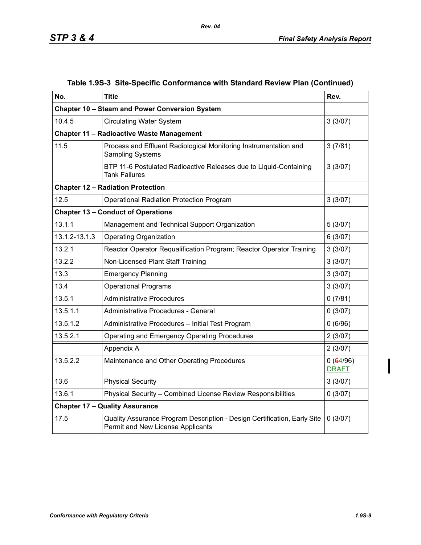| No.           | <b>Title</b>                                                                                                  | Rev.                     |
|---------------|---------------------------------------------------------------------------------------------------------------|--------------------------|
|               | Chapter 10 - Steam and Power Conversion System                                                                |                          |
| 10.4.5        | <b>Circulating Water System</b>                                                                               | 3(3/07)                  |
|               | <b>Chapter 11 - Radioactive Waste Management</b>                                                              |                          |
| 11.5          | Process and Effluent Radiological Monitoring Instrumentation and<br><b>Sampling Systems</b>                   | 3(7/81)                  |
|               | BTP 11-6 Postulated Radioactive Releases due to Liquid-Containing<br><b>Tank Failures</b>                     | 3(3/07)                  |
|               | <b>Chapter 12 - Radiation Protection</b>                                                                      |                          |
| 12.5          | Operational Radiation Protection Program                                                                      | 3(3/07)                  |
|               | <b>Chapter 13 - Conduct of Operations</b>                                                                     |                          |
| 13.1.1        | Management and Technical Support Organization                                                                 | 5(3/07)                  |
| 13.1.2-13.1.3 | <b>Operating Organization</b>                                                                                 | 6(3/07)                  |
| 13.2.1        | Reactor Operator Requalification Program; Reactor Operator Training                                           | 3(3/07)                  |
| 13.2.2        | Non-Licensed Plant Staff Training                                                                             | 3(3/07)                  |
| 13.3          | <b>Emergency Planning</b>                                                                                     | 3(3/07)                  |
| 13.4          | <b>Operational Programs</b>                                                                                   | 3(3/07)                  |
| 13.5.1        | <b>Administrative Procedures</b>                                                                              | 0(7/81)                  |
| 13.5.1.1      | Administrative Procedures - General                                                                           | 0(3/07)                  |
| 13.5.1.2      | Administrative Procedures - Initial Test Program                                                              | 0(6/96)                  |
| 13.5.2.1      | <b>Operating and Emergency Operating Procedures</b>                                                           | 2(3/07)                  |
|               | Appendix A                                                                                                    | 2(3/07)                  |
| 13.5.2.2      | Maintenance and Other Operating Procedures                                                                    | 0(64/96)<br><b>DRAFT</b> |
| 13.6          | <b>Physical Security</b>                                                                                      | 3(3/07)                  |
| 13.6.1        | Physical Security - Combined License Review Responsibilities                                                  | 0(3/07)                  |
|               | <b>Chapter 17 - Quality Assurance</b>                                                                         |                          |
| 17.5          | Quality Assurance Program Description - Design Certification, Early Site<br>Permit and New License Applicants | 0(3/07)                  |

# **Table 1.9S-3 Site-Specific Conformance with Standard Review Plan (Continued)**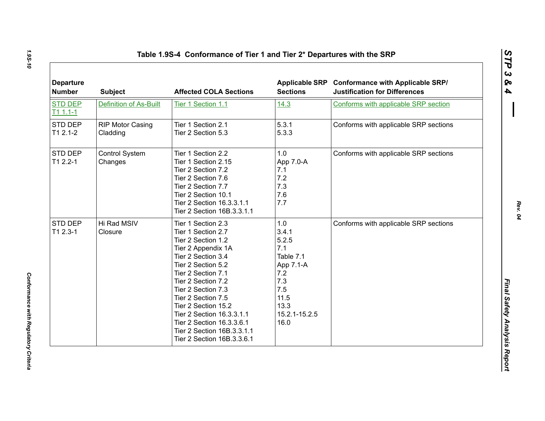| <b>Departure</b><br><b>Number</b> | <b>Subject</b>                      | <b>Affected COLA Sections</b>                                                                                                                                                                                                                                                                                                                                         | <b>Sections</b>                                                                                                      | Applicable SRP Conformance with Applicable SRP/<br><b>Justification for Differences</b> |
|-----------------------------------|-------------------------------------|-----------------------------------------------------------------------------------------------------------------------------------------------------------------------------------------------------------------------------------------------------------------------------------------------------------------------------------------------------------------------|----------------------------------------------------------------------------------------------------------------------|-----------------------------------------------------------------------------------------|
| <b>STD DEP</b><br>$T11.1-1$       | <b>Definition of As-Built</b>       | Tier 1 Section 1.1                                                                                                                                                                                                                                                                                                                                                    | 14.3                                                                                                                 | Conforms with applicable SRP section                                                    |
| STD DEP<br>$T12.1-2$              | <b>RIP Motor Casing</b><br>Cladding | Tier 1 Section 2.1<br>Tier 2 Section 5.3                                                                                                                                                                                                                                                                                                                              | 5.3.1<br>5.3.3                                                                                                       | Conforms with applicable SRP sections                                                   |
| STD DEP<br>$T12.2 - 1$            | Control System<br>Changes           | Tier 1 Section 2.2<br>Tier 1 Section 2.15<br>Tier 2 Section 7.2<br>Tier 2 Section 7.6<br>Tier 2 Section 7.7<br>Tier 2 Section 10.1<br>Tier 2 Section 16.3.3.1.1<br>Tier 2 Section 16B.3.3.1.1                                                                                                                                                                         | 1.0<br>App 7.0-A<br>7.1<br>7.2<br>7.3<br>7.6<br>7.7                                                                  | Conforms with applicable SRP sections                                                   |
| STD DEP<br>$T12.3-1$              | Hi Rad MSIV<br>Closure              | Tier 1 Section 2.3<br>Tier 1 Section 2.7<br>Tier 2 Section 1.2<br>Tier 2 Appendix 1A<br>Tier 2 Section 3.4<br>Tier 2 Section 5.2<br>Tier 2 Section 7.1<br>Tier 2 Section 7.2<br>Tier 2 Section 7.3<br>Tier 2 Section 7.5<br>Tier 2 Section 15.2<br>Tier 2 Section 16.3.3.1.1<br>Tier 2 Section 16.3.3.6.1<br>Tier 2 Section 16B.3.3.1.1<br>Tier 2 Section 16B.3.3.6.1 | 1.0<br>3.4.1<br>5.2.5<br>7.1<br>Table 7.1<br>App 7.1-A<br>7.2<br>7.3<br>7.5<br>11.5<br>13.3<br>15.2.1-15.2.5<br>16.0 | Conforms with applicable SRP sections                                                   |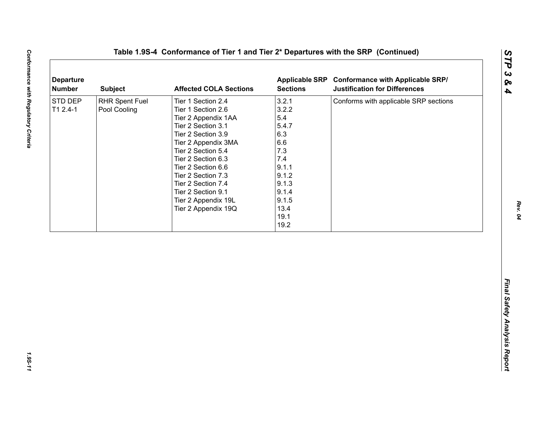| <b>Departure</b><br><b>Number</b> | <b>Subject</b>                        | <b>Affected COLA Sections</b>                                                                                                                                                                                                                                                                                        | <b>Sections</b>                                                                                                                 | Applicable SRP Conformance with Applicable SRP/<br><b>Justification for Differences</b> |
|-----------------------------------|---------------------------------------|----------------------------------------------------------------------------------------------------------------------------------------------------------------------------------------------------------------------------------------------------------------------------------------------------------------------|---------------------------------------------------------------------------------------------------------------------------------|-----------------------------------------------------------------------------------------|
| STD DEP<br>$T12.4-1$              | <b>RHR Spent Fuel</b><br>Pool Cooling | Tier 1 Section 2.4<br>Tier 1 Section 2.6<br>Tier 2 Appendix 1AA<br>Tier 2 Section 3.1<br>Tier 2 Section 3.9<br>Tier 2 Appendix 3MA<br>Tier 2 Section 5.4<br>Tier 2 Section 6.3<br>Tier 2 Section 6.6<br>Tier 2 Section 7.3<br>Tier 2 Section 7.4<br>Tier 2 Section 9.1<br>Tier 2 Appendix 19L<br>Tier 2 Appendix 19Q | 3.2.1<br>3.2.2<br>5.4<br>5.4.7<br>6.3<br>6.6<br>7.3<br>7.4<br>9.1.1<br>9.1.2<br>9.1.3<br>9.1.4<br>9.1.5<br>13.4<br>19.1<br>19.2 | Conforms with applicable SRP sections                                                   |
|                                   |                                       |                                                                                                                                                                                                                                                                                                                      |                                                                                                                                 |                                                                                         |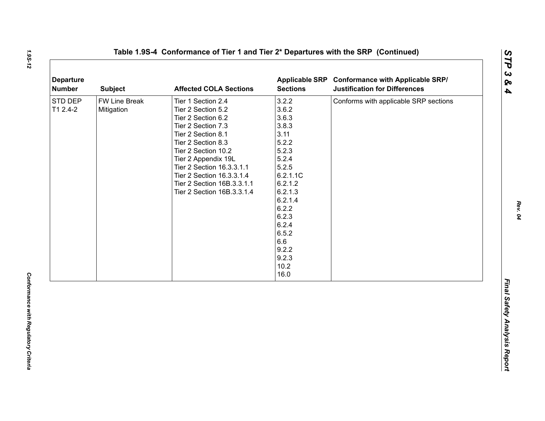| <b>Number</b>       | <b>Subject</b>              | <b>Affected COLA Sections</b>                                                                                                                                                                                                                                                                        | <b>Sections</b>                                                                                                                                                                                        | Applicable SRP Conformance with Applicable SRP/<br><b>Justification for Differences</b> |
|---------------------|-----------------------------|------------------------------------------------------------------------------------------------------------------------------------------------------------------------------------------------------------------------------------------------------------------------------------------------------|--------------------------------------------------------------------------------------------------------------------------------------------------------------------------------------------------------|-----------------------------------------------------------------------------------------|
| STD DEP<br>T1 2.4-2 | FW Line Break<br>Mitigation | Tier 1 Section 2.4<br>Tier 2 Section 5.2<br>Tier 2 Section 6.2<br>Tier 2 Section 7.3<br>Tier 2 Section 8.1<br>Tier 2 Section 8.3<br>Tier 2 Section 10.2<br>Tier 2 Appendix 19L<br>Tier 2 Section 16.3.3.1.1<br>Tier 2 Section 16.3.3.1.4<br>Tier 2 Section 16B.3.3.1.1<br>Tier 2 Section 16B.3.3.1.4 | 3.2.2<br>3.6.2<br>3.6.3<br>3.8.3<br>3.11<br>5.2.2<br>5.2.3<br>5.2.4<br>5.2.5<br>6.2.1.1C<br>6.2.1.2<br>6.2.1.3<br>6.2.1.4<br>6.2.2<br>6.2.3<br>6.2.4<br>6.5.2<br>6.6<br>9.2.2<br>9.2.3<br>10.2<br>16.0 | Conforms with applicable SRP sections                                                   |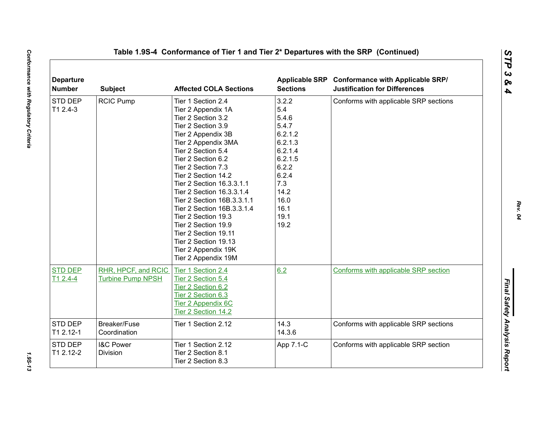| <b>Departure</b><br><b>Number</b> | <b>Subject</b>                                  | <b>Affected COLA Sections</b>                                                                                                                                                                                                                                                                                                                                                                                                                                                                | <b>Sections</b>                                                                                                                             | Applicable SRP Conformance with Applicable SRP/<br><b>Justification for Differences</b> |
|-----------------------------------|-------------------------------------------------|----------------------------------------------------------------------------------------------------------------------------------------------------------------------------------------------------------------------------------------------------------------------------------------------------------------------------------------------------------------------------------------------------------------------------------------------------------------------------------------------|---------------------------------------------------------------------------------------------------------------------------------------------|-----------------------------------------------------------------------------------------|
| STD DEP<br>T1 2.4-3               | <b>RCIC Pump</b>                                | Tier 1 Section 2.4<br>Tier 2 Appendix 1A<br>Tier 2 Section 3.2<br>Tier 2 Section 3.9<br>Tier 2 Appendix 3B<br>Tier 2 Appendix 3MA<br>Tier 2 Section 5.4<br>Tier 2 Section 6.2<br>Tier 2 Section 7.3<br>Tier 2 Section 14.2<br>Tier 2 Section 16.3.3.1.1<br>Tier 2 Section 16.3.3.1.4<br>Tier 2 Section 16B.3.3.1.1<br>Tier 2 Section 16B.3.3.1.4<br>Tier 2 Section 19.3<br>Tier 2 Section 19.9<br>Tier 2 Section 19.11<br>Tier 2 Section 19.13<br>Tier 2 Appendix 19K<br>Tier 2 Appendix 19M | 3.2.2<br>5.4<br>5.4.6<br>5.4.7<br>6.2.1.2<br>6.2.1.3<br>6.2.1.4<br>6.2.1.5<br>6.2.2<br>6.2.4<br>7.3<br>14.2<br>16.0<br>16.1<br>19.1<br>19.2 | Conforms with applicable SRP sections                                                   |
| <b>STD DEP</b><br>$T12.4-4$       | RHR, HPCF, and RCIC<br><b>Turbine Pump NPSH</b> | Tier 1 Section 2.4<br>Tier 2 Section 5.4<br>Tier 2 Section 6.2<br>Tier 2 Section 6.3<br>Tier 2 Appendix 6C<br>Tier 2 Section 14.2                                                                                                                                                                                                                                                                                                                                                            | 6.2                                                                                                                                         | Conforms with applicable SRP section                                                    |
| STD DEP<br>T1 2.12-1              | Breaker/Fuse<br>Coordination                    | Tier 1 Section 2.12                                                                                                                                                                                                                                                                                                                                                                                                                                                                          | 14.3<br>14.3.6                                                                                                                              | Conforms with applicable SRP sections                                                   |
| STD DEP<br>T1 2.12-2              | <b>I&amp;C Power</b><br>Division                | Tier 1 Section 2.12<br>Tier 2 Section 8.1<br>Tier 2 Section 8.3                                                                                                                                                                                                                                                                                                                                                                                                                              | App 7.1-C                                                                                                                                   | Conforms with applicable SRP section                                                    |

1.95-13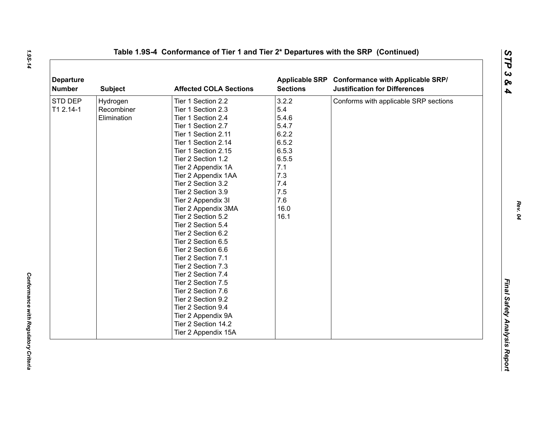| <b>Departure</b><br>Number | <b>Subject</b> | <b>Affected COLA Sections</b> | <b>Sections</b> | Applicable SRP Conformance with Applicable SRP/<br><b>Justification for Differences</b> |
|----------------------------|----------------|-------------------------------|-----------------|-----------------------------------------------------------------------------------------|
| STD DEP                    | Hydrogen       | Tier 1 Section 2.2            | 3.2.2           | Conforms with applicable SRP sections                                                   |
| T1 2.14-1                  | Recombiner     | Tier 1 Section 2.3            | 5.4             |                                                                                         |
|                            | Elimination    | Tier 1 Section 2.4            | 5.4.6           |                                                                                         |
|                            |                | Tier 1 Section 2.7            | 5.4.7           |                                                                                         |
|                            |                | Tier 1 Section 2.11           | 6.2.2           |                                                                                         |
|                            |                | Tier 1 Section 2.14           | 6.5.2           |                                                                                         |
|                            |                | Tier 1 Section 2.15           | 6.5.3           |                                                                                         |
|                            |                | Tier 2 Section 1.2            | 6.5.5           |                                                                                         |
|                            |                | Tier 2 Appendix 1A            | 7.1             |                                                                                         |
|                            |                | Tier 2 Appendix 1AA           | 7.3             |                                                                                         |
|                            |                | Tier 2 Section 3.2            | 7.4             |                                                                                         |
|                            |                | Tier 2 Section 3.9            | 7.5             |                                                                                         |
|                            |                | Tier 2 Appendix 3I            | 7.6             |                                                                                         |
|                            |                | Tier 2 Appendix 3MA           | 16.0            |                                                                                         |
|                            |                | Tier 2 Section 5.2            | 16.1            |                                                                                         |
|                            |                | Tier 2 Section 5.4            |                 |                                                                                         |
|                            |                | Tier 2 Section 6.2            |                 |                                                                                         |
|                            |                | Tier 2 Section 6.5            |                 |                                                                                         |
|                            |                | Tier 2 Section 6.6            |                 |                                                                                         |
|                            |                | Tier 2 Section 7.1            |                 |                                                                                         |
|                            |                | Tier 2 Section 7.3            |                 |                                                                                         |
|                            |                | Tier 2 Section 7.4            |                 |                                                                                         |
|                            |                | Tier 2 Section 7.5            |                 |                                                                                         |
|                            |                | Tier 2 Section 7.6            |                 |                                                                                         |
|                            |                | Tier 2 Section 9.2            |                 |                                                                                         |
|                            |                | Tier 2 Section 9.4            |                 |                                                                                         |
|                            |                | Tier 2 Appendix 9A            |                 |                                                                                         |
|                            |                | Tier 2 Section 14.2           |                 |                                                                                         |
|                            |                | Tier 2 Appendix 15A           |                 |                                                                                         |

*Rev. 04*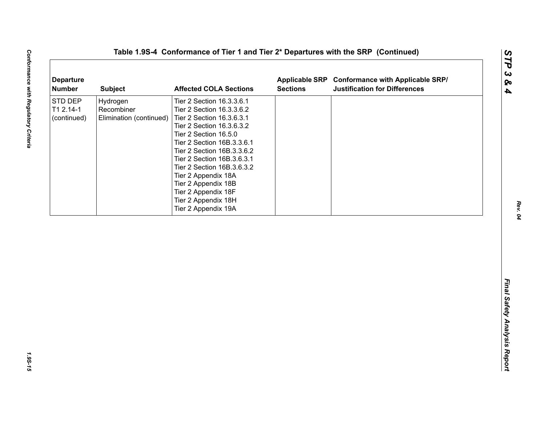| <b>Departure</b><br><b>Number</b>   | <b>Subject</b>                                    | <b>Affected COLA Sections</b>                                                                                                                                                                                                                                                                                                                                                        | <b>Sections</b> | Applicable SRP Conformance with Applicable SRP/<br><b>Justification for Differences</b> |
|-------------------------------------|---------------------------------------------------|--------------------------------------------------------------------------------------------------------------------------------------------------------------------------------------------------------------------------------------------------------------------------------------------------------------------------------------------------------------------------------------|-----------------|-----------------------------------------------------------------------------------------|
| STD DEP<br>T1 2.14-1<br>(continued) | Hydrogen<br>Recombiner<br>Elimination (continued) | Tier 2 Section 16.3.3.6.1<br>Tier 2 Section 16.3.3.6.2<br>Tier 2 Section 16.3.6.3.1<br>Tier 2 Section 16.3.6.3.2<br>Tier 2 Section 16.5.0<br>Tier 2 Section 16B.3.3.6.1<br>Tier 2 Section 16B.3.3.6.2<br>Tier 2 Section 16B.3.6.3.1<br>Tier 2 Section 16B.3.6.3.2<br>Tier 2 Appendix 18A<br>Tier 2 Appendix 18B<br>Tier 2 Appendix 18F<br>Tier 2 Appendix 18H<br>Tier 2 Appendix 19A |                 |                                                                                         |
|                                     |                                                   |                                                                                                                                                                                                                                                                                                                                                                                      |                 |                                                                                         |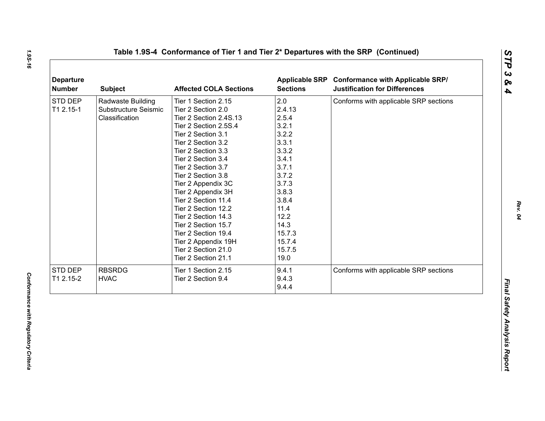| <b>Number</b> | <b>Subject</b>       | <b>Affected COLA Sections</b> | <b>Sections</b> | Applicable SRP Conformance with Applicable SRP/<br><b>Justification for Differences</b> |
|---------------|----------------------|-------------------------------|-----------------|-----------------------------------------------------------------------------------------|
| STD DEP       | Radwaste Building    | Tier 1 Section 2.15           | 2.0             | Conforms with applicable SRP sections                                                   |
| T1 2.15-1     | Substructure Seismic | Tier 2 Section 2.0            | 2.4.13          |                                                                                         |
|               | Classification       | Tier 2 Section 2.4S.13        | 2.5.4           |                                                                                         |
|               |                      | Tier 2 Section 2.5S.4         | 3.2.1           |                                                                                         |
|               |                      | Tier 2 Section 3.1            | 3.2.2           |                                                                                         |
|               |                      | Tier 2 Section 3.2            | 3.3.1           |                                                                                         |
|               |                      | Tier 2 Section 3.3            | 3.3.2           |                                                                                         |
|               |                      | Tier 2 Section 3.4            | 3.4.1           |                                                                                         |
|               |                      | Tier 2 Section 3.7            | 3.7.1           |                                                                                         |
|               |                      | Tier 2 Section 3.8            | 3.7.2           |                                                                                         |
|               |                      | Tier 2 Appendix 3C            | 3.7.3           |                                                                                         |
|               |                      | Tier 2 Appendix 3H            | 3.8.3           |                                                                                         |
|               |                      | Tier 2 Section 11.4           | 3.8.4           |                                                                                         |
|               |                      | Tier 2 Section 12.2           | 11.4            |                                                                                         |
|               |                      | Tier 2 Section 14.3           | 12.2            |                                                                                         |
|               |                      | Tier 2 Section 15.7           | 14.3            |                                                                                         |
|               |                      | Tier 2 Section 19.4           | 15.7.3          |                                                                                         |
|               |                      | Tier 2 Appendix 19H           | 15.7.4          |                                                                                         |
|               |                      | Tier 2 Section 21.0           | 15.7.5          |                                                                                         |
|               |                      | Tier 2 Section 21.1           | 19.0            |                                                                                         |
| STD DEP       | <b>RBSRDG</b>        | Tier 1 Section 2.15           | 9.4.1           | Conforms with applicable SRP sections                                                   |
| T1 2.15-2     | <b>HVAC</b>          | Tier 2 Section 9.4            | 9.4.3           |                                                                                         |
|               |                      |                               | 9.4.4           |                                                                                         |

*Rev. 04*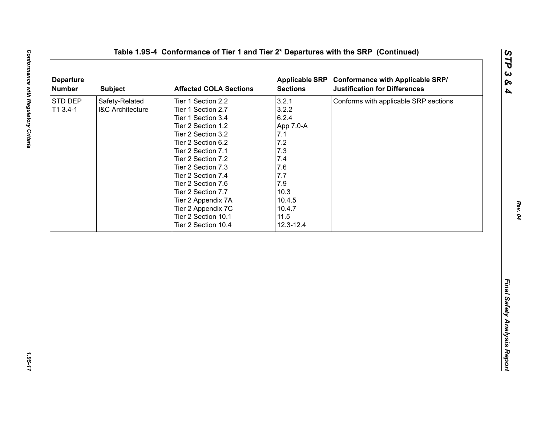| <b>Departure</b><br><b>Number</b> | <b>Subject</b>                                | <b>Affected COLA Sections</b>                                                                                                                                                                                                                                                                                                           | <b>Sections</b>                                                                                                           | Applicable SRP Conformance with Applicable SRP/<br><b>Justification for Differences</b> |
|-----------------------------------|-----------------------------------------------|-----------------------------------------------------------------------------------------------------------------------------------------------------------------------------------------------------------------------------------------------------------------------------------------------------------------------------------------|---------------------------------------------------------------------------------------------------------------------------|-----------------------------------------------------------------------------------------|
| STD DEP<br>$T13.4-1$              | Safety-Related<br><b>I&amp;C Architecture</b> | Tier 1 Section 2.2<br>Tier 1 Section 2.7<br>Tier 1 Section 3.4<br>Tier 2 Section 1.2<br>Tier 2 Section 3.2<br>Tier 2 Section 6.2<br>Tier 2 Section 7.1<br>Tier 2 Section 7.2<br>Tier 2 Section 7.3<br>Tier 2 Section 7.4<br>Tier 2 Section 7.6<br>Tier 2 Section 7.7<br>Tier 2 Appendix 7A<br>Tier 2 Appendix 7C<br>Tier 2 Section 10.1 | 3.2.1<br>3.2.2<br>6.2.4<br>App 7.0-A<br>7.1<br>7.2<br>7.3<br>7.4<br>7.6<br>7.7<br>7.9<br>10.3<br>10.4.5<br>10.4.7<br>11.5 | Conforms with applicable SRP sections                                                   |
|                                   |                                               | Tier 2 Section 10.4                                                                                                                                                                                                                                                                                                                     | 12.3-12.4                                                                                                                 |                                                                                         |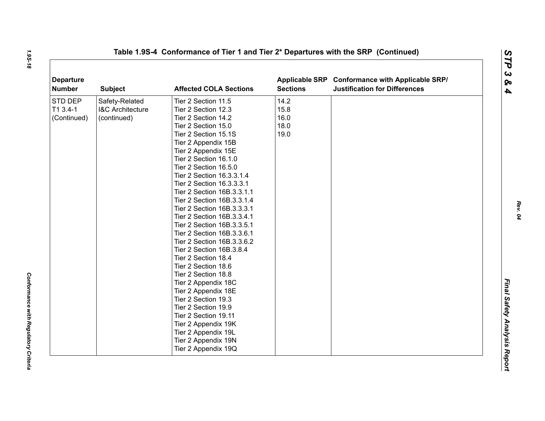| <b>Departure</b><br><b>Number</b> | <b>Subject</b>              | <b>Affected COLA Sections</b> | <b>Sections</b> | Applicable SRP Conformance with Applicable SRP/<br><b>Justification for Differences</b> |  |
|-----------------------------------|-----------------------------|-------------------------------|-----------------|-----------------------------------------------------------------------------------------|--|
| STD DEP                           | Safety-Related              | Tier 2 Section 11.5           | 14.2            |                                                                                         |  |
| T1 3.4-1                          | <b>I&amp;C Architecture</b> | Tier 2 Section 12.3           | 15.8            |                                                                                         |  |
| (Continued)                       | (continued)                 | Tier 2 Section 14.2           | 16.0            |                                                                                         |  |
|                                   |                             | Tier 2 Section 15.0           | 18.0            |                                                                                         |  |
|                                   |                             | Tier 2 Section 15.1S          | 19.0            |                                                                                         |  |
|                                   |                             | Tier 2 Appendix 15B           |                 |                                                                                         |  |
|                                   |                             | Tier 2 Appendix 15E           |                 |                                                                                         |  |
|                                   |                             | Tier 2 Section 16.1.0         |                 |                                                                                         |  |
|                                   |                             | Tier 2 Section 16.5.0         |                 |                                                                                         |  |
|                                   |                             | Tier 2 Section 16.3.3.1.4     |                 |                                                                                         |  |
|                                   |                             | Tier 2 Section 16.3.3.3.1     |                 |                                                                                         |  |
|                                   |                             | Tier 2 Section 16B.3.3.1.1    |                 |                                                                                         |  |
|                                   |                             | Tier 2 Section 16B.3.3.1.4    |                 |                                                                                         |  |
|                                   |                             | Tier 2 Section 16B.3.3.3.1    |                 |                                                                                         |  |
|                                   |                             | Tier 2 Section 16B.3.3.4.1    |                 |                                                                                         |  |
|                                   |                             | Tier 2 Section 16B.3.3.5.1    |                 |                                                                                         |  |
|                                   |                             | Tier 2 Section 16B.3.3.6.1    |                 |                                                                                         |  |
|                                   |                             | Tier 2 Section 16B.3.3.6.2    |                 |                                                                                         |  |
|                                   |                             | Tier 2 Section 16B.3.8.4      |                 |                                                                                         |  |
|                                   |                             | Tier 2 Section 18.4           |                 |                                                                                         |  |
|                                   |                             | Tier 2 Section 18.6           |                 |                                                                                         |  |
|                                   |                             | Tier 2 Section 18.8           |                 |                                                                                         |  |
|                                   |                             | Tier 2 Appendix 18C           |                 |                                                                                         |  |
|                                   |                             | Tier 2 Appendix 18E           |                 |                                                                                         |  |
|                                   |                             | Tier 2 Section 19.3           |                 |                                                                                         |  |
|                                   |                             | Tier 2 Section 19.9           |                 |                                                                                         |  |
|                                   |                             | Tier 2 Section 19.11          |                 |                                                                                         |  |
|                                   |                             | Tier 2 Appendix 19K           |                 |                                                                                         |  |
|                                   |                             | Tier 2 Appendix 19L           |                 |                                                                                         |  |
|                                   |                             | Tier 2 Appendix 19N           |                 |                                                                                         |  |
|                                   |                             | Tier 2 Appendix 19Q           |                 |                                                                                         |  |

*Rev. 04*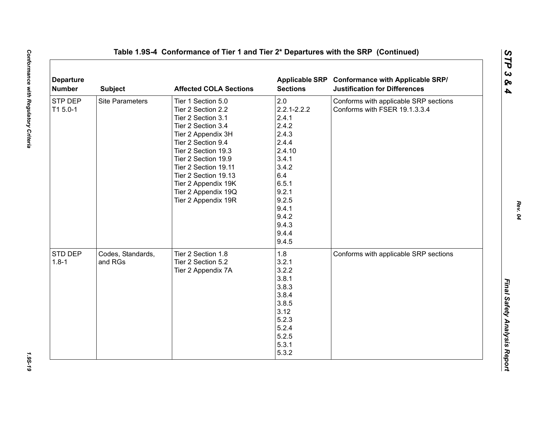| <b>Departure</b><br><b>Number</b> | <b>Subject</b>               | <b>Affected COLA Sections</b>                                                                                                                                                                                                                                                                       | <b>Sections</b>                                                                                                                                                       | Applicable SRP Conformance with Applicable SRP/<br><b>Justification for Differences</b> |
|-----------------------------------|------------------------------|-----------------------------------------------------------------------------------------------------------------------------------------------------------------------------------------------------------------------------------------------------------------------------------------------------|-----------------------------------------------------------------------------------------------------------------------------------------------------------------------|-----------------------------------------------------------------------------------------|
| <b>STP DEP</b><br>T1 5.0-1        | <b>Site Parameters</b>       | Tier 1 Section 5.0<br>Tier 2 Section 2.2<br>Tier 2 Section 3.1<br>Tier 2 Section 3.4<br>Tier 2 Appendix 3H<br>Tier 2 Section 9.4<br>Tier 2 Section 19.3<br>Tier 2 Section 19.9<br>Tier 2 Section 19.11<br>Tier 2 Section 19.13<br>Tier 2 Appendix 19K<br>Tier 2 Appendix 19Q<br>Tier 2 Appendix 19R | 2.0<br>$2.2.1 - 2.2.2$<br>2.4.1<br>2.4.2<br>2.4.3<br>2.4.4<br>2.4.10<br>3.4.1<br>3.4.2<br>6.4<br>6.5.1<br>9.2.1<br>9.2.5<br>9.4.1<br>9.4.2<br>9.4.3<br>9.4.4<br>9.4.5 | Conforms with applicable SRP sections<br>Conforms with FSER 19.1.3.3.4                  |
| STD DEP<br>$1.8 - 1$              | Codes, Standards,<br>and RGs | Tier 2 Section 1.8<br>Tier 2 Section 5.2<br>Tier 2 Appendix 7A                                                                                                                                                                                                                                      | 1.8<br>3.2.1<br>3.2.2<br>3.8.1<br>3.8.3<br>3.8.4<br>3.8.5<br>3.12<br>5.2.3<br>5.2.4<br>5.2.5<br>5.3.1<br>5.3.2                                                        | Conforms with applicable SRP sections                                                   |

*Rev. 04*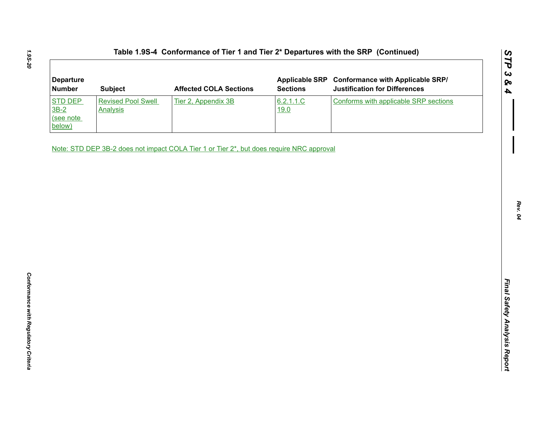| <b>Departure</b><br><b>Number</b>               | <b>Subject</b>                               | <b>Affected COLA Sections</b>                                                            | <b>Sections</b>   | Applicable SRP Conformance with Applicable SRP/<br><b>Justification for Differences</b> |
|-------------------------------------------------|----------------------------------------------|------------------------------------------------------------------------------------------|-------------------|-----------------------------------------------------------------------------------------|
| <b>STD DEP</b><br>$3B-2$<br>(see note<br>below) | <b>Revised Pool Swell</b><br><b>Analysis</b> | Tier 2, Appendix 3B                                                                      | 6.2.1.1.C<br>19.0 | Conforms with applicable SRP sections                                                   |
|                                                 |                                              | Note: STD DEP 3B-2 does not impact COLA Tier 1 or Tier 2*, but does require NRC approval |                   |                                                                                         |
|                                                 |                                              |                                                                                          |                   |                                                                                         |
|                                                 |                                              |                                                                                          |                   |                                                                                         |
|                                                 |                                              |                                                                                          |                   |                                                                                         |
|                                                 |                                              |                                                                                          |                   |                                                                                         |
|                                                 |                                              |                                                                                          |                   |                                                                                         |
|                                                 |                                              |                                                                                          |                   |                                                                                         |
|                                                 |                                              |                                                                                          |                   |                                                                                         |
|                                                 |                                              |                                                                                          |                   |                                                                                         |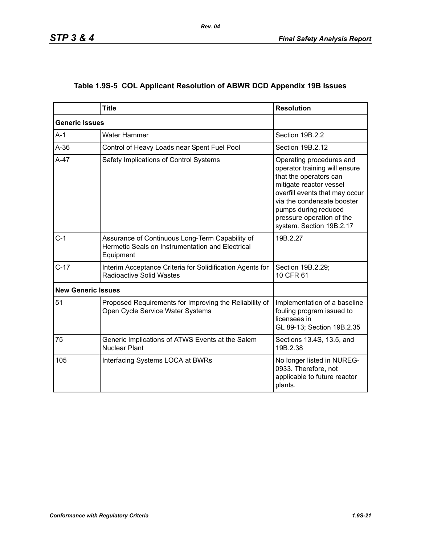|                           | <b>Title</b>                                                                                                     | <b>Resolution</b>                                                                                                                                                                                                                                               |
|---------------------------|------------------------------------------------------------------------------------------------------------------|-----------------------------------------------------------------------------------------------------------------------------------------------------------------------------------------------------------------------------------------------------------------|
| <b>Generic Issues</b>     |                                                                                                                  |                                                                                                                                                                                                                                                                 |
| $A-1$                     | Water Hammer                                                                                                     | Section 19B.2.2                                                                                                                                                                                                                                                 |
| $A-36$                    | Control of Heavy Loads near Spent Fuel Pool                                                                      | Section 19B.2.12                                                                                                                                                                                                                                                |
| $A-47$                    | Safety Implications of Control Systems                                                                           | Operating procedures and<br>operator training will ensure<br>that the operators can<br>mitigate reactor vessel<br>overfill events that may occur<br>via the condensate booster<br>pumps during reduced<br>pressure operation of the<br>system. Section 19B.2.17 |
| $C-1$                     | Assurance of Continuous Long-Term Capability of<br>Hermetic Seals on Instrumentation and Electrical<br>Equipment | 19B.2.27                                                                                                                                                                                                                                                        |
| $C-17$                    | Interim Acceptance Criteria for Solidification Agents for<br><b>Radioactive Solid Wastes</b>                     | Section 19B.2.29;<br>10 CFR 61                                                                                                                                                                                                                                  |
| <b>New Generic Issues</b> |                                                                                                                  |                                                                                                                                                                                                                                                                 |
| 51                        | Proposed Requirements for Improving the Reliability of<br>Open Cycle Service Water Systems                       | Implementation of a baseline<br>fouling program issued to<br>licensees in<br>GL 89-13; Section 19B.2.35                                                                                                                                                         |
| 75                        | Generic Implications of ATWS Events at the Salem<br><b>Nuclear Plant</b>                                         | Sections 13.4S, 13.5, and<br>19B.2.38                                                                                                                                                                                                                           |
| 105                       | Interfacing Systems LOCA at BWRs                                                                                 | No longer listed in NUREG-<br>0933. Therefore, not<br>applicable to future reactor<br>plants.                                                                                                                                                                   |

# **Table 1.9S-5 COL Applicant Resolution of ABWR DCD Appendix 19B Issues**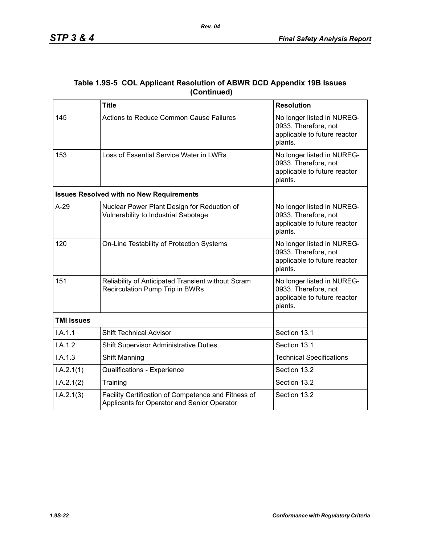|                   | <b>Title</b>                                                                                       | <b>Resolution</b>                                                                             |  |
|-------------------|----------------------------------------------------------------------------------------------------|-----------------------------------------------------------------------------------------------|--|
| 145               | <b>Actions to Reduce Common Cause Failures</b>                                                     | No longer listed in NUREG-<br>0933. Therefore, not<br>applicable to future reactor<br>plants. |  |
| 153               | Loss of Essential Service Water in LWRs                                                            | No longer listed in NUREG-<br>0933. Therefore, not<br>applicable to future reactor<br>plants. |  |
|                   | <b>Issues Resolved with no New Requirements</b>                                                    |                                                                                               |  |
| $A-29$            | Nuclear Power Plant Design for Reduction of<br>Vulnerability to Industrial Sabotage                | No longer listed in NUREG-<br>0933. Therefore, not<br>applicable to future reactor<br>plants. |  |
| 120               | On-Line Testability of Protection Systems                                                          | No longer listed in NUREG-<br>0933. Therefore, not<br>applicable to future reactor<br>plants. |  |
| 151               | Reliability of Anticipated Transient without Scram<br>Recirculation Pump Trip in BWRs              | No longer listed in NUREG-<br>0933. Therefore, not<br>applicable to future reactor<br>plants. |  |
| <b>TMI Issues</b> |                                                                                                    |                                                                                               |  |
| I.A.1.1           | <b>Shift Technical Advisor</b>                                                                     | Section 13.1                                                                                  |  |
| I.A.1.2           | <b>Shift Supervisor Administrative Duties</b>                                                      | Section 13.1                                                                                  |  |
| I.A.1.3           | Shift Manning                                                                                      | <b>Technical Specifications</b>                                                               |  |
| I.A.2.1(1)        | Qualifications - Experience                                                                        | Section 13.2                                                                                  |  |
| I.A.2.1(2)        | Training                                                                                           | Section 13.2                                                                                  |  |
| I.A.2.1(3)        | Facility Certification of Competence and Fitness of<br>Applicants for Operator and Senior Operator | Section 13.2                                                                                  |  |

### **Table 1.9S-5 COL Applicant Resolution of ABWR DCD Appendix 19B Issues (Continued)**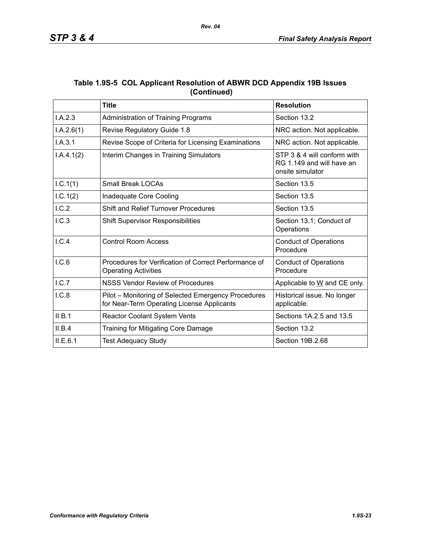|             | Table 1.9S-5 COL Applicant Resolution of ABWR DCD Appendix 19B Issues |  |
|-------------|-----------------------------------------------------------------------|--|
| (Continued) |                                                                       |  |

|            | <b>Title</b>                                                                                      | <b>Resolution</b>                                                            |
|------------|---------------------------------------------------------------------------------------------------|------------------------------------------------------------------------------|
| I.A.2.3    | Administration of Training Programs                                                               | Section 13.2                                                                 |
| I.A.2.6(1) | Revise Regulatory Guide 1.8                                                                       | NRC action. Not applicable.                                                  |
| I.A.3.1    | Revise Scope of Criteria for Licensing Examinations                                               | NRC action. Not applicable.                                                  |
| I.A.4.1(2) | Interim Changes in Training Simulators                                                            | STP 3 & 4 will conform with<br>RG 1.149 and will have an<br>onsite simulator |
| I.C.1(1)   | <b>Small Break LOCAs</b>                                                                          | Section 13.5                                                                 |
| 1.C.1(2)   | Inadequate Core Cooling                                                                           | Section 13.5                                                                 |
| I.C.2      | Shift and Relief Turnover Procedures                                                              | Section 13.5                                                                 |
| 1.C.3      | <b>Shift Supervisor Responsibilities</b>                                                          | Section 13.1; Conduct of<br>Operations                                       |
| I.C.4      | <b>Control Room Access</b>                                                                        | <b>Conduct of Operations</b><br>Procedure                                    |
| I.C.6      | Procedures for Verification of Correct Performance of<br><b>Operating Activities</b>              | <b>Conduct of Operations</b><br>Procedure                                    |
| L.C.7      | <b>NSSS Vendor Review of Procedures</b>                                                           | Applicable to W and CE only.                                                 |
| I.C.8      | Pilot – Monitoring of Selected Emergency Procedures<br>for Near-Term Operating License Applicants | Historical issue. No longer<br>applicable.                                   |
| II.B.1     | Reactor Coolant System Vents                                                                      | Sections 1A.2.5 and 13.5                                                     |
| II.B.4     | Training for Mitigating Core Damage                                                               | Section 13.2                                                                 |
| II.E.6.1   | <b>Test Adequacy Study</b>                                                                        | Section 19B.2.68                                                             |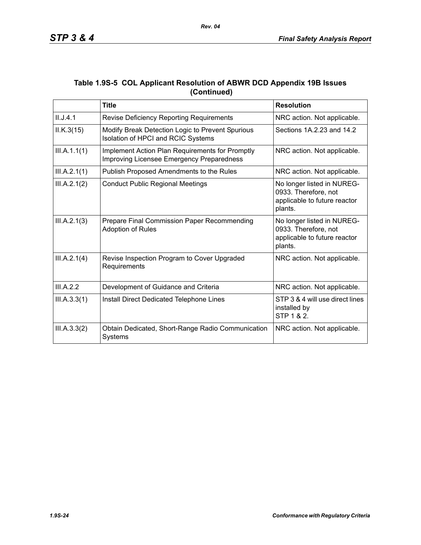|             | Table 1.9S-5 COL Applicant Resolution of ABWR DCD Appendix 19B Issues |
|-------------|-----------------------------------------------------------------------|
| (Continued) |                                                                       |

|              | <b>Title</b>                                                                                 | <b>Resolution</b>                                                                             |
|--------------|----------------------------------------------------------------------------------------------|-----------------------------------------------------------------------------------------------|
| II.J.4.1     | <b>Revise Deficiency Reporting Requirements</b>                                              | NRC action. Not applicable.                                                                   |
| ILK.3(15)    | Modify Break Detection Logic to Prevent Spurious<br>Isolation of HPCI and RCIC Systems       | Sections 1A.2.23 and 14.2                                                                     |
| III.A.1.1(1) | Implement Action Plan Requirements for Promptly<br>Improving Licensee Emergency Preparedness | NRC action. Not applicable.                                                                   |
| III.A.2.1(1) | Publish Proposed Amendments to the Rules                                                     | NRC action. Not applicable.                                                                   |
| III.A.2.1(2) | <b>Conduct Public Regional Meetings</b>                                                      | No longer listed in NUREG-<br>0933. Therefore, not<br>applicable to future reactor<br>plants. |
| III.A.2.1(3) | Prepare Final Commission Paper Recommending<br><b>Adoption of Rules</b>                      | No longer listed in NUREG-<br>0933. Therefore, not<br>applicable to future reactor<br>plants. |
| III.A.2.1(4) | Revise Inspection Program to Cover Upgraded<br>Requirements                                  | NRC action. Not applicable.                                                                   |
| III.A.2.2    | Development of Guidance and Criteria                                                         | NRC action. Not applicable.                                                                   |
| III.A.3.3(1) | Install Direct Dedicated Telephone Lines                                                     | STP 3 & 4 will use direct lines<br>installed by<br>STP 1 & 2.                                 |
| III.A.3.3(2) | Obtain Dedicated, Short-Range Radio Communication<br>Systems                                 | NRC action. Not applicable.                                                                   |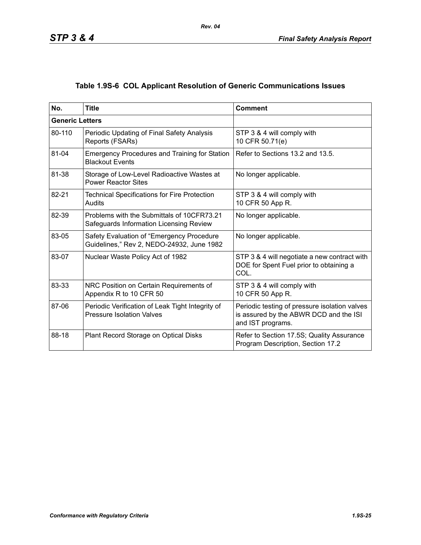# **Table 1.9S-6 COL Applicant Resolution of Generic Communications Issues**

| No.                    | <b>Title</b>                                                                           | <b>Comment</b>                                                                                               |
|------------------------|----------------------------------------------------------------------------------------|--------------------------------------------------------------------------------------------------------------|
| <b>Generic Letters</b> |                                                                                        |                                                                                                              |
| 80-110                 | Periodic Updating of Final Safety Analysis<br>Reports (FSARs)                          | STP 3 & 4 will comply with<br>10 CFR 50.71(e)                                                                |
| 81-04                  | <b>Emergency Procedures and Training for Station</b><br><b>Blackout Events</b>         | Refer to Sections 13.2 and 13.5.                                                                             |
| 81-38                  | Storage of Low-Level Radioactive Wastes at<br><b>Power Reactor Sites</b>               | No longer applicable.                                                                                        |
| 82-21                  | <b>Technical Specifications for Fire Protection</b><br>Audits                          | STP 3 & 4 will comply with<br>10 CFR 50 App R.                                                               |
| 82-39                  | Problems with the Submittals of 10CFR73.21<br>Safeguards Information Licensing Review  | No longer applicable.                                                                                        |
| 83-05                  | Safety Evaluation of "Emergency Procedure<br>Guidelines," Rev 2, NEDO-24932, June 1982 | No longer applicable.                                                                                        |
| 83-07                  | Nuclear Waste Policy Act of 1982                                                       | STP 3 & 4 will negotiate a new contract with<br>DOE for Spent Fuel prior to obtaining a<br>COL.              |
| 83-33                  | NRC Position on Certain Requirements of<br>Appendix R to 10 CFR 50                     | STP 3 & 4 will comply with<br>10 CFR 50 App R.                                                               |
| 87-06                  | Periodic Verification of Leak Tight Integrity of<br><b>Pressure Isolation Valves</b>   | Periodic testing of pressure isolation valves<br>is assured by the ABWR DCD and the ISI<br>and IST programs. |
| 88-18                  | Plant Record Storage on Optical Disks                                                  | Refer to Section 17.5S; Quality Assurance<br>Program Description, Section 17.2                               |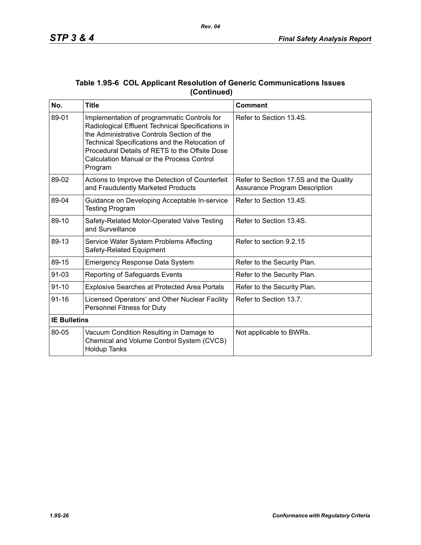| No.                 | <b>Title</b>                                                                                                                                                                                                                                                                                                      | <b>Comment</b>                                                                 |
|---------------------|-------------------------------------------------------------------------------------------------------------------------------------------------------------------------------------------------------------------------------------------------------------------------------------------------------------------|--------------------------------------------------------------------------------|
| 89-01               | Implementation of programmatic Controls for<br>Radiological Effluent Technical Specifications in<br>the Administrative Controls Section of the<br>Technical Specifications and the Relocation of<br>Procedural Details of RETS to the Offsite Dose<br><b>Calculation Manual or the Process Control</b><br>Program | Refer to Section 13.4S.                                                        |
| 89-02               | Actions to Improve the Detection of Counterfeit<br>and Fraudulently Marketed Products                                                                                                                                                                                                                             | Refer to Section 17.5S and the Quality<br><b>Assurance Program Description</b> |
| 89-04               | Guidance on Developing Acceptable In-service<br><b>Testing Program</b>                                                                                                                                                                                                                                            | Refer to Section 13.4S.                                                        |
| 89-10               | Safety-Related Motor-Operated Valve Testing<br>and Surveillance                                                                                                                                                                                                                                                   | Refer to Section 13.4S.                                                        |
| 89-13               | Service Water System Problems Affecting<br>Safety-Related Equipment                                                                                                                                                                                                                                               | Refer to section 9.2.15                                                        |
| 89-15               | <b>Emergency Response Data System</b>                                                                                                                                                                                                                                                                             | Refer to the Security Plan.                                                    |
| $91 - 03$           | Reporting of Safeguards Events                                                                                                                                                                                                                                                                                    | Refer to the Security Plan.                                                    |
| $91 - 10$           | <b>Explosive Searches at Protected Area Portals</b>                                                                                                                                                                                                                                                               | Refer to the Security Plan.                                                    |
| $91 - 16$           | Licensed Operators' and Other Nuclear Facility<br>Personnel Fitness for Duty                                                                                                                                                                                                                                      | Refer to Section 13.7.                                                         |
| <b>IE Bulletins</b> |                                                                                                                                                                                                                                                                                                                   |                                                                                |
| 80-05               | Vacuum Condition Resulting in Damage to<br>Chemical and Volume Control System (CVCS)<br><b>Holdup Tanks</b>                                                                                                                                                                                                       | Not applicable to BWRs.                                                        |

### **Table 1.9S-6 COL Applicant Resolution of Generic Communications Issues (Continued)**